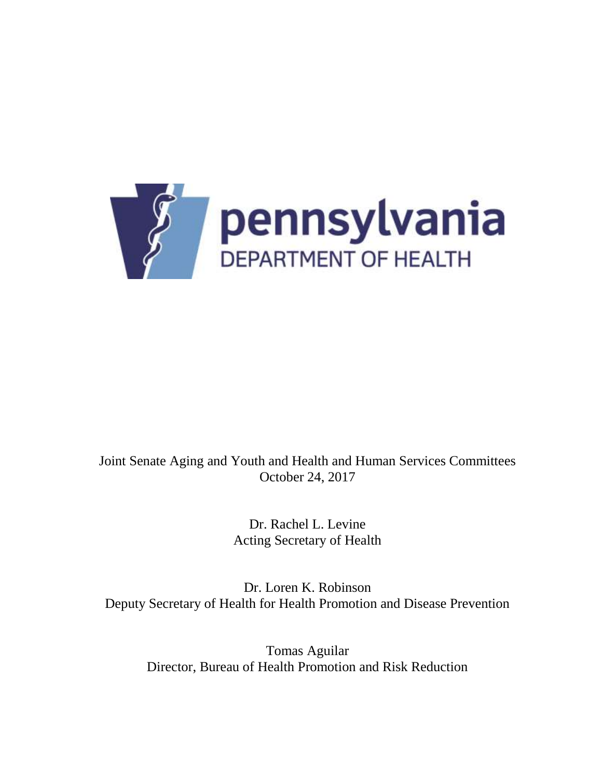

## Joint Senate Aging and Youth and Health and Human Services Committees October 24, 2017

Dr. Rachel L. Levine Acting Secretary of Health

Dr. Loren K. Robinson Deputy Secretary of Health for Health Promotion and Disease Prevention

Tomas Aguilar Director, Bureau of Health Promotion and Risk Reduction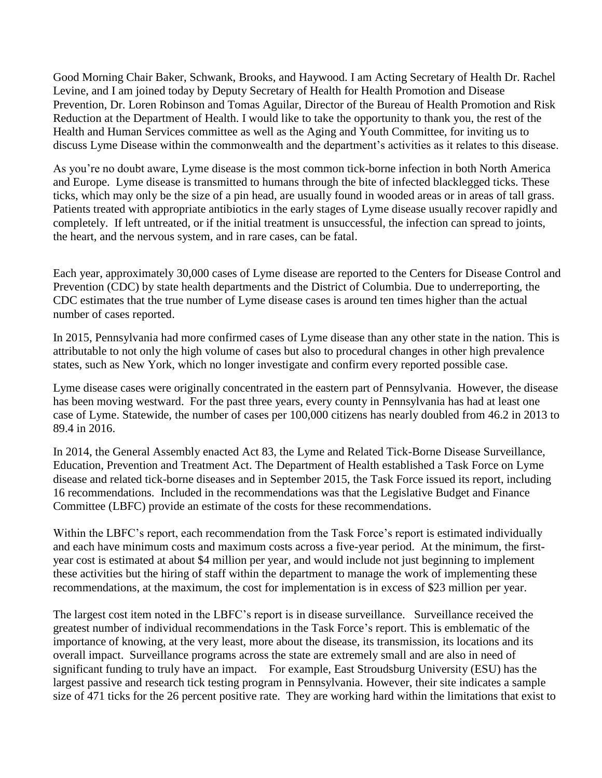Good Morning Chair Baker, Schwank, Brooks, and Haywood. I am Acting Secretary of Health Dr. Rachel Levine, and I am joined today by Deputy Secretary of Health for Health Promotion and Disease Prevention, Dr. Loren Robinson and Tomas Aguilar, Director of the Bureau of Health Promotion and Risk Reduction at the Department of Health. I would like to take the opportunity to thank you, the rest of the Health and Human Services committee as well as the Aging and Youth Committee, for inviting us to discuss Lyme Disease within the commonwealth and the department's activities as it relates to this disease.

As you're no doubt aware, Lyme disease is the most common tick-borne infection in both North America and Europe. Lyme disease is transmitted to humans through the bite of infected blacklegged ticks. These ticks, which may only be the size of a pin head, are usually found in wooded areas or in areas of tall grass. Patients treated with appropriate antibiotics in the early stages of Lyme disease usually recover rapidly and completely. If left untreated, or if the initial treatment is unsuccessful, the infection can spread to joints, the heart, and the nervous system, and in rare cases, can be fatal.

Each year, approximately 30,000 cases of Lyme disease are reported to the Centers for Disease Control and Prevention (CDC) by state health departments and the District of Columbia. Due to underreporting, the CDC estimates that the true number of Lyme disease cases is around ten times higher than the actual number of cases reported.

In 2015, Pennsylvania had more confirmed cases of Lyme disease than any other state in the nation. This is attributable to not only the high volume of cases but also to procedural changes in other high prevalence states, such as New York, which no longer investigate and confirm every reported possible case.

Lyme disease cases were originally concentrated in the eastern part of Pennsylvania. However, the disease has been moving westward. For the past three years, every county in Pennsylvania has had at least one case of Lyme. Statewide, the number of cases per 100,000 citizens has nearly doubled from 46.2 in 2013 to 89.4 in 2016.

In 2014, the General Assembly enacted Act 83, the Lyme and Related Tick-Borne Disease Surveillance, Education, Prevention and Treatment Act. The Department of Health established a Task Force on Lyme disease and related tick-borne diseases and in September 2015, the Task Force issued its report, including 16 recommendations. Included in the recommendations was that the Legislative Budget and Finance Committee (LBFC) provide an estimate of the costs for these recommendations.

Within the LBFC's report, each recommendation from the Task Force's report is estimated individually and each have minimum costs and maximum costs across a five-year period. At the minimum, the firstyear cost is estimated at about \$4 million per year, and would include not just beginning to implement these activities but the hiring of staff within the department to manage the work of implementing these recommendations, at the maximum, the cost for implementation is in excess of \$23 million per year.

The largest cost item noted in the LBFC's report is in disease surveillance. Surveillance received the greatest number of individual recommendations in the Task Force's report. This is emblematic of the importance of knowing, at the very least, more about the disease, its transmission, its locations and its overall impact. Surveillance programs across the state are extremely small and are also in need of significant funding to truly have an impact. For example, East Stroudsburg University (ESU) has the largest passive and research tick testing program in Pennsylvania. However, their site indicates a sample size of 471 ticks for the 26 percent positive rate. They are working hard within the limitations that exist to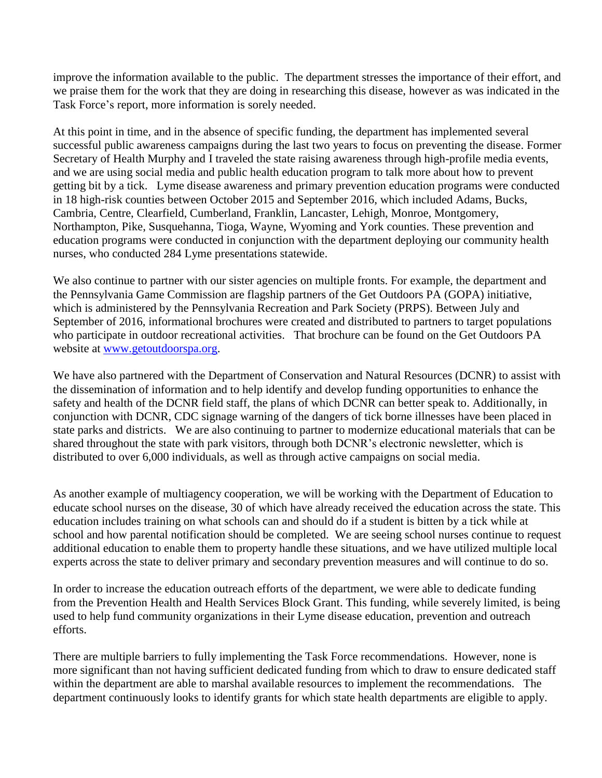improve the information available to the public. The department stresses the importance of their effort, and we praise them for the work that they are doing in researching this disease, however as was indicated in the Task Force's report, more information is sorely needed.

At this point in time, and in the absence of specific funding, the department has implemented several successful public awareness campaigns during the last two years to focus on preventing the disease. Former Secretary of Health Murphy and I traveled the state raising awareness through high-profile media events, and we are using social media and public health education program to talk more about how to prevent getting bit by a tick. Lyme disease awareness and primary prevention education programs were conducted in 18 high-risk counties between October 2015 and September 2016, which included Adams, Bucks, Cambria, Centre, Clearfield, Cumberland, Franklin, Lancaster, Lehigh, Monroe, Montgomery, Northampton, Pike, Susquehanna, Tioga, Wayne, Wyoming and York counties. These prevention and education programs were conducted in conjunction with the department deploying our community health nurses, who conducted 284 Lyme presentations statewide.

We also continue to partner with our sister agencies on multiple fronts. For example, the department and the Pennsylvania Game Commission are flagship partners of the Get Outdoors PA (GOPA) initiative, which is administered by the Pennsylvania Recreation and Park Society (PRPS). Between July and September of 2016, informational brochures were created and distributed to partners to target populations who participate in outdoor recreational activities. That brochure can be found on the Get Outdoors PA website at [www.getoutdoorspa.org.](http://www.getoutdoorspa.org/)

We have also partnered with the Department of Conservation and Natural Resources (DCNR) to assist with the dissemination of information and to help identify and develop funding opportunities to enhance the safety and health of the DCNR field staff, the plans of which DCNR can better speak to. Additionally, in conjunction with DCNR, CDC signage warning of the dangers of tick borne illnesses have been placed in state parks and districts. We are also continuing to partner to modernize educational materials that can be shared throughout the state with park visitors, through both DCNR's electronic newsletter, which is distributed to over 6,000 individuals, as well as through active campaigns on social media.

As another example of multiagency cooperation, we will be working with the Department of Education to educate school nurses on the disease, 30 of which have already received the education across the state. This education includes training on what schools can and should do if a student is bitten by a tick while at school and how parental notification should be completed. We are seeing school nurses continue to request additional education to enable them to property handle these situations, and we have utilized multiple local experts across the state to deliver primary and secondary prevention measures and will continue to do so.

In order to increase the education outreach efforts of the department, we were able to dedicate funding from the Prevention Health and Health Services Block Grant. This funding, while severely limited, is being used to help fund community organizations in their Lyme disease education, prevention and outreach efforts.

There are multiple barriers to fully implementing the Task Force recommendations. However, none is more significant than not having sufficient dedicated funding from which to draw to ensure dedicated staff within the department are able to marshal available resources to implement the recommendations. The department continuously looks to identify grants for which state health departments are eligible to apply.